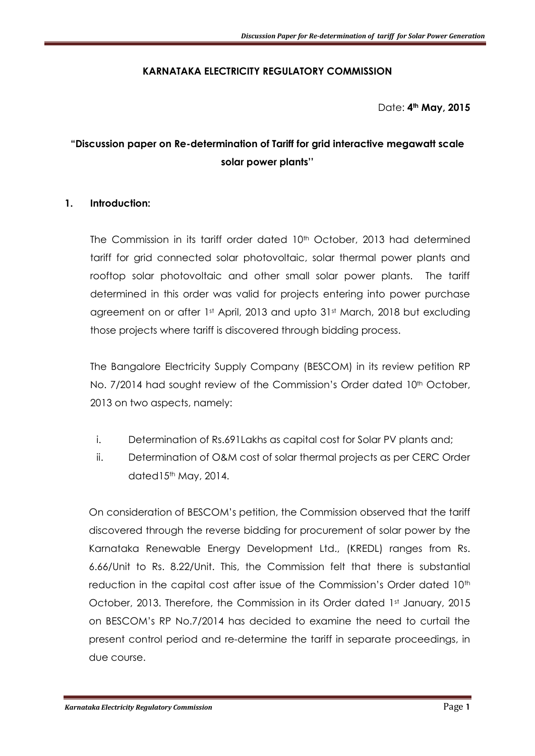## **KARNATAKA ELECTRICITY REGULATORY COMMISSION**

Date: **4th May, 2015**

# **"Discussion paper on Re-determination of Tariff for grid interactive megawatt scale solar power plants''**

#### **1. Introduction:**

The Commission in its tariff order dated 10<sup>th</sup> October, 2013 had determined tariff for grid connected solar photovoltaic, solar thermal power plants and rooftop solar photovoltaic and other small solar power plants. The tariff determined in this order was valid for projects entering into power purchase agreement on or after 1st April, 2013 and upto 31st March, 2018 but excluding those projects where tariff is discovered through bidding process.

The Bangalore Electricity Supply Company (BESCOM) in its review petition RP No. 7/2014 had sought review of the Commission's Order dated 10<sup>th</sup> October, 2013 on two aspects, namely:

- i. Determination of Rs.691Lakhs as capital cost for Solar PV plants and;
- ii. Determination of O&M cost of solar thermal projects as per CERC Order dated15<sup>th</sup> May, 2014.

On consideration of BESCOM's petition, the Commission observed that the tariff discovered through the reverse bidding for procurement of solar power by the Karnataka Renewable Energy Development Ltd., (KREDL) ranges from Rs. 6.66/Unit to Rs. 8.22/Unit. This, the Commission felt that there is substantial reduction in the capital cost after issue of the Commission's Order dated 10<sup>th</sup> October, 2013. Therefore, the Commission in its Order dated 1st January, 2015 on BESCOM's RP No.7/2014 has decided to examine the need to curtail the present control period and re-determine the tariff in separate proceedings, in due course.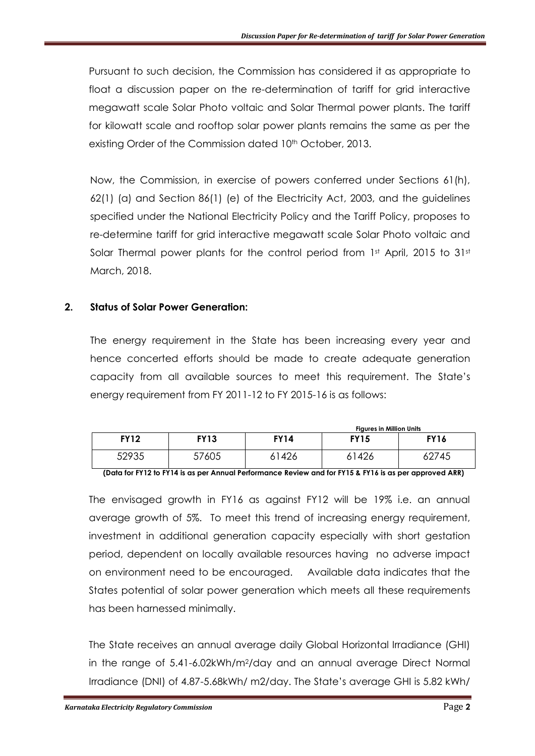Pursuant to such decision, the Commission has considered it as appropriate to float a discussion paper on the re-determination of tariff for grid interactive megawatt scale Solar Photo voltaic and Solar Thermal power plants. The tariff for kilowatt scale and rooftop solar power plants remains the same as per the existing Order of the Commission dated 10<sup>th</sup> October, 2013.

Now, the Commission, in exercise of powers conferred under Sections 61(h), 62(1) (a) and Section 86(1) (e) of the Electricity Act, 2003, and the guidelines specified under the National Electricity Policy and the Tariff Policy, proposes to re-determine tariff for grid interactive megawatt scale Solar Photo voltaic and Solar Thermal power plants for the control period from 1st April, 2015 to 31st March, 2018.

#### **2. Status of Solar Power Generation:**

The energy requirement in the State has been increasing every year and hence concerted efforts should be made to create adequate generation capacity from all available sources to meet this requirement. The State's energy requirement from FY 2011-12 to FY 2015-16 is as follows:

|             |       |             | <b>Figures in Million Units</b> |             |  |  |  |
|-------------|-------|-------------|---------------------------------|-------------|--|--|--|
| <b>FY12</b> | FY13  | <b>FY14</b> | <b>FY15</b>                     | <b>FY16</b> |  |  |  |
| 52935       | 57605 | 1426ء       | 61426                           | 62745       |  |  |  |

**(Data for FY12 to FY14 is as per Annual Performance Review and for FY15 & FY16 is as per approved ARR)**

The envisaged growth in FY16 as against FY12 will be 19% i.e. an annual average growth of 5%. To meet this trend of increasing energy requirement, investment in additional generation capacity especially with short gestation period, dependent on locally available resources having no adverse impact on environment need to be encouraged. Available data indicates that the States potential of solar power generation which meets all these requirements has been harnessed minimally.

The State receives an annual average daily Global Horizontal Irradiance (GHI) in the range of 5.41-6.02kWh/m2/day and an annual average Direct Normal Irradiance (DNI) of 4.87-5.68kWh/ m2/day. The State's average GHI is 5.82 kWh/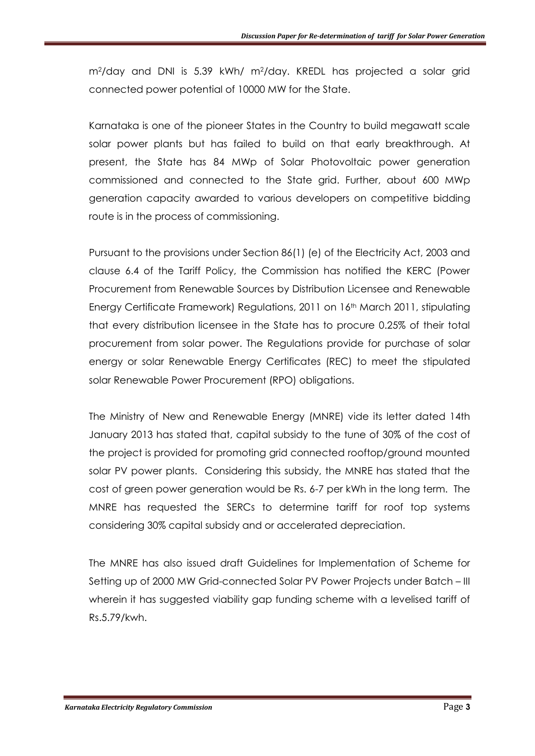m2/day and DNI is 5.39 kWh/ m2/day. KREDL has projected a solar grid connected power potential of 10000 MW for the State.

Karnataka is one of the pioneer States in the Country to build megawatt scale solar power plants but has failed to build on that early breakthrough. At present, the State has 84 MWp of Solar Photovoltaic power generation commissioned and connected to the State grid. Further, about 600 MWp generation capacity awarded to various developers on competitive bidding route is in the process of commissioning.

Pursuant to the provisions under Section 86(1) (e) of the Electricity Act, 2003 and clause 6.4 of the Tariff Policy, the Commission has notified the KERC (Power Procurement from Renewable Sources by Distribution Licensee and Renewable Energy Certificate Framework) Regulations, 2011 on 16th March 2011, stipulating that every distribution licensee in the State has to procure 0.25% of their total procurement from solar power. The Regulations provide for purchase of solar energy or solar Renewable Energy Certificates (REC) to meet the stipulated solar Renewable Power Procurement (RPO) obligations.

The Ministry of New and Renewable Energy (MNRE) vide its letter dated 14th January 2013 has stated that, capital subsidy to the tune of 30% of the cost of the project is provided for promoting grid connected rooftop/ground mounted solar PV power plants. Considering this subsidy, the MNRE has stated that the cost of green power generation would be Rs. 6-7 per kWh in the long term. The MNRE has requested the SERCs to determine tariff for roof top systems considering 30% capital subsidy and or accelerated depreciation.

The MNRE has also issued draft Guidelines for Implementation of Scheme for Setting up of 2000 MW Grid-connected Solar PV Power Projects under Batch – III wherein it has suggested viability gap funding scheme with a levelised tariff of Rs.5.79/kwh.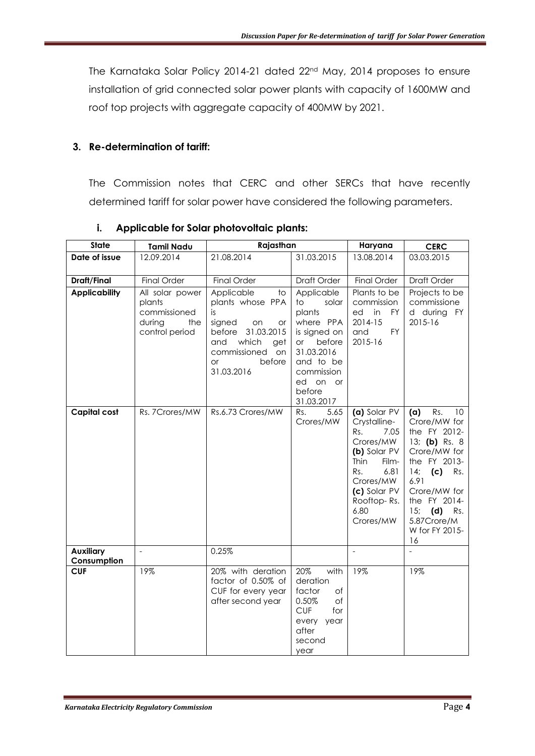The Karnataka Solar Policy 2014-21 dated 22nd May, 2014 proposes to ensure installation of grid connected solar power plants with capacity of 1600MW and roof top projects with aggregate capacity of 400MW by 2021.

#### **3. Re-determination of tariff:**

The Commission notes that CERC and other SERCs that have recently determined tariff for solar power have considered the following parameters.

| <b>State</b>                    | <b>Tamil Nadu</b>                                                            | Rajasthan                                                                                                                                                                           |                                                                                                                                                               | Haryana                                                                                                                                                                   | <b>CERC</b>                                                                                                                                                                                                              |
|---------------------------------|------------------------------------------------------------------------------|-------------------------------------------------------------------------------------------------------------------------------------------------------------------------------------|---------------------------------------------------------------------------------------------------------------------------------------------------------------|---------------------------------------------------------------------------------------------------------------------------------------------------------------------------|--------------------------------------------------------------------------------------------------------------------------------------------------------------------------------------------------------------------------|
| Date of issue                   | 12.09.2014                                                                   | 21.08.2014                                                                                                                                                                          | 31.03.2015                                                                                                                                                    | 13.08.2014                                                                                                                                                                | 03.03.2015                                                                                                                                                                                                               |
| Draft/Final                     | <b>Final Order</b>                                                           | <b>Final Order</b>                                                                                                                                                                  | Draft Order                                                                                                                                                   | <b>Final Order</b>                                                                                                                                                        | Draft Order                                                                                                                                                                                                              |
| <b>Applicability</b>            | All solar power<br>plants<br>commissioned<br>during<br>the<br>control period | Applicable<br>$\mathsf{to}$<br>plants whose PPA<br>is.<br>signed<br>on<br>or<br>31.03.2015<br>before<br>which<br>and<br>get<br>commissioned on<br>before<br><b>or</b><br>31.03.2016 | Applicable<br>solar<br>to<br>plants<br>where PPA<br>is signed on<br>before<br>or<br>31.03.2016<br>and to be<br>commission<br>ed on or<br>before<br>31.03.2017 | Plants to be<br>commission<br>in<br>ed<br>FY<br>2014-15<br><b>FY</b><br>and<br>2015-16                                                                                    | Projects to be<br>commissione<br>d during FY<br>2015-16                                                                                                                                                                  |
| <b>Capital cost</b>             | Rs. 7Crores/MW                                                               | Rs.6.73 Crores/MW                                                                                                                                                                   | 5.65<br>Rs.<br>Crores/MW                                                                                                                                      | (a) Solar PV<br>Crystalline-<br>Rs.<br>7.05<br>Crores/MW<br>(b) Solar PV<br>Thin<br>Film-<br>Rs.<br>6.81<br>Crores/MW<br>(c) Solar PV<br>Rooftop-Rs.<br>6.80<br>Crores/MW | Rs.<br>10<br>(a)<br>Crore/MW for<br>the FY 2012-<br>13; (b) Rs. $8$<br>Crore/MW for<br>the FY 2013-<br>$14;$ (c)<br>Rs.<br>6.91<br>Crore/MW for<br>the FY 2014-<br>15;<br>(d) Rs.<br>5.87Crore/M<br>W for FY 2015-<br>16 |
| <b>Auxiliary</b><br>Consumption | $\frac{1}{2}$                                                                | 0.25%                                                                                                                                                                               |                                                                                                                                                               | $\overline{a}$                                                                                                                                                            | $\blacksquare$                                                                                                                                                                                                           |
| <b>CUF</b>                      | 19%                                                                          | 20% with deration<br>factor of 0.50% of<br>CUF for every year<br>after second year                                                                                                  | 20%<br>with<br>deration<br>factor<br>Оf<br>of<br>0.50%<br><b>CUF</b><br>for<br>every year<br>after<br>second<br>year                                          | 19%                                                                                                                                                                       | 19%                                                                                                                                                                                                                      |

#### **i. Applicable for Solar photovoltaic plants:**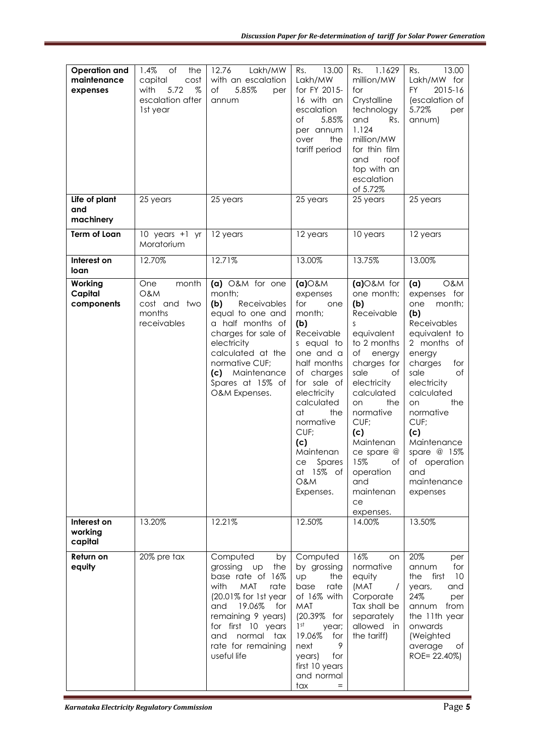| <b>Operation and</b><br>maintenance<br>expenses | 1.4%<br>of<br>the<br>capital<br>cost<br>5.72<br>$\%$<br>with<br>escalation after<br>1st year | 12.76<br>Lakh/MW<br>with an escalation<br>of<br>5.85%<br>per<br>annum                                                                                                                                                                        | 13.00<br>Rs.<br>Lakh/MW<br>for FY 2015-<br>16 with an<br>escalation<br>of<br>5.85%<br>per annum<br>the<br>over<br>tariff period                                                                                                                                                          | 1.1629<br>Rs.<br>million/MW<br>for<br>Crystalline<br>technology<br>and<br>Rs.<br>1.124<br>million/MW<br>for thin film<br>and<br>roof<br>top with an<br>escalation<br>of 5.72%                                                                                                                         | 13.00<br>Rs.<br>Lakh/MW for<br>FY<br>2015-16<br>(escalation of<br>5.72%<br>per<br>annum)                                                                                                                                                                                                                 |
|-------------------------------------------------|----------------------------------------------------------------------------------------------|----------------------------------------------------------------------------------------------------------------------------------------------------------------------------------------------------------------------------------------------|------------------------------------------------------------------------------------------------------------------------------------------------------------------------------------------------------------------------------------------------------------------------------------------|-------------------------------------------------------------------------------------------------------------------------------------------------------------------------------------------------------------------------------------------------------------------------------------------------------|----------------------------------------------------------------------------------------------------------------------------------------------------------------------------------------------------------------------------------------------------------------------------------------------------------|
| Life of plant<br>and<br>machinery               | 25 years                                                                                     | 25 years                                                                                                                                                                                                                                     | 25 years                                                                                                                                                                                                                                                                                 | 25 years                                                                                                                                                                                                                                                                                              | 25 years                                                                                                                                                                                                                                                                                                 |
| Term of Loan                                    | 10 years +1 yr<br>Moratorium                                                                 | 12 years                                                                                                                                                                                                                                     | 12 years                                                                                                                                                                                                                                                                                 | 10 years                                                                                                                                                                                                                                                                                              | 12 years                                                                                                                                                                                                                                                                                                 |
| Interest on<br>loan                             | 12.70%                                                                                       | 12.71%                                                                                                                                                                                                                                       | 13.00%                                                                                                                                                                                                                                                                                   | 13.75%                                                                                                                                                                                                                                                                                                | 13.00%                                                                                                                                                                                                                                                                                                   |
| Working<br>Capital<br>components                | month<br><b>One</b><br><b>O&amp;M</b><br>cost and two<br>months<br>receivables               | (a) O&M for one<br>month;<br>(b)<br><b>Receivables</b><br>equal to one and<br>a half months of<br>charges for sale of<br>electricity<br>calculated at the<br>normative CUF;<br>(c) Maintenance<br>Spares at 15% of<br>O&M Expenses.          | $(a)$ O&M<br>expenses<br>for<br>one<br>month;<br>(b)<br>Receivable<br>s equal to<br>one and a<br>half months<br>of charges<br>for sale of<br>electricity<br>calculated<br>at<br>the<br>normative<br>CUF;<br>(c)<br>Maintenan<br>Spares<br>ce<br>at 15% of<br><b>O&amp;M</b><br>Expenses. | $(a)$ O&M for<br>one month;<br>(b)<br>Receivable<br>S<br>equivalent<br>to 2 months<br>оf<br>energy<br>charges for<br>sale<br>Оf<br>electricity<br>calculated<br>the<br>on<br>normative<br>CUF;<br>(c)<br>Maintenan<br>ce spare $@$<br>15%<br>of I<br>operation<br>and<br>maintenan<br>ce<br>expenses. | (a)<br>O&M<br>expenses for<br>month;<br>one<br>(b)<br><b>Receivables</b><br>equivalent to<br>2 months of<br>energy<br>charges<br>for<br>sale<br>of<br>electricity<br>calculated<br>the<br>on<br>normative<br>CUF;<br>(c)<br>Maintenance<br>spare @ 15%<br>of operation<br>and<br>maintenance<br>expenses |
| Interest on<br>working<br>capital               | 13.20%                                                                                       | 12.21%                                                                                                                                                                                                                                       | 12.50%                                                                                                                                                                                                                                                                                   | 14.00%                                                                                                                                                                                                                                                                                                | 13.50%                                                                                                                                                                                                                                                                                                   |
| Return on<br>equity                             | 20% pre tax                                                                                  | Computed<br>by<br>grossing up<br>the<br>base rate of 16%<br>with<br><b>MAT</b><br>rate<br>(20.01% for 1st year<br>19.06%<br>and<br>for<br>remaining 9 years)<br>for first 10 years<br>normal tax<br>and<br>rate for remaining<br>useful life | Computed<br>by grossing<br>UD<br>the<br>base<br>rate<br>of 16% with<br>MAT<br>(20.39% for<br>1 <sup>st</sup><br>year;<br>19.06%<br>for<br>9<br>next<br>for<br>years)<br>first 10 years<br>and normal<br>tax                                                                              | 16%<br>on<br>normative<br>equity<br>(MAT<br>$\prime$<br>Corporate<br>Tax shall be<br>separately<br>allowed in<br>the tariff)                                                                                                                                                                          | 20%<br>per<br>for<br>annum<br>first<br>10<br>the<br>years,<br>and<br>24%<br>per<br>from<br>annum<br>the 11th year<br>onwards<br>(Weighted<br>average<br>ot<br>ROE= 22.40%)                                                                                                                               |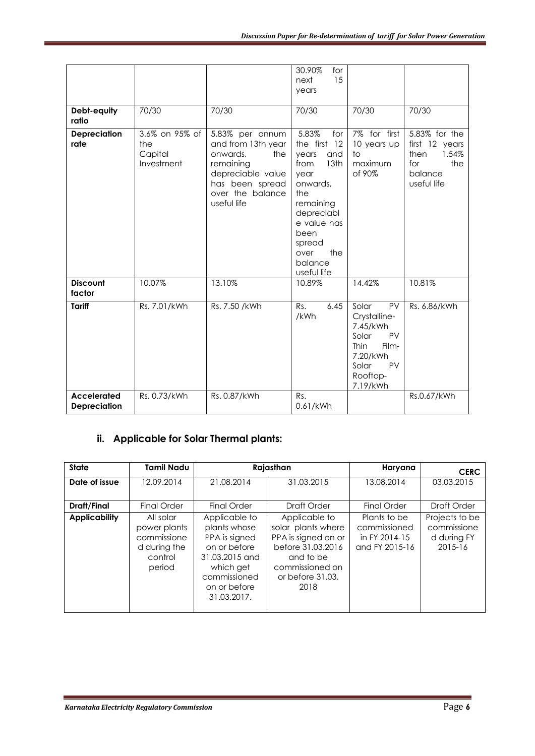|                                           |                                                |                                                                                                                                                  | 30.90%<br>for<br>15<br>next<br>years                                                                                                                                                         |                                                                                                                                   |                                                                                          |
|-------------------------------------------|------------------------------------------------|--------------------------------------------------------------------------------------------------------------------------------------------------|----------------------------------------------------------------------------------------------------------------------------------------------------------------------------------------------|-----------------------------------------------------------------------------------------------------------------------------------|------------------------------------------------------------------------------------------|
| Debt-equity<br>ratio                      | 70/30                                          | 70/30                                                                                                                                            | 70/30                                                                                                                                                                                        | 70/30                                                                                                                             | 70/30                                                                                    |
| Depreciation<br>rate                      | 3.6% on 95% of<br>the<br>Capital<br>Investment | 5.83% per annum<br>and from 13th year<br>onwards,<br>the<br>remaining<br>depreciable value<br>has been spread<br>over the balance<br>useful life | 5.83%<br>for<br>the first 12<br>years<br>and<br>from<br>13th<br>year<br>onwards,<br>the<br>remaining<br>depreciabl<br>e value has<br>been<br>spread<br>the<br>over<br>balance<br>useful life | 7% for first<br>10 years up<br>to<br>maximum<br>of 90%                                                                            | 5.83% for the<br>first 12 years<br>1.54%<br>then<br>the<br>for<br>balance<br>useful life |
| <b>Discount</b><br>factor                 | 10.07%                                         | 13.10%                                                                                                                                           | 10.89%                                                                                                                                                                                       | 14.42%                                                                                                                            | 10.81%                                                                                   |
| Tariff                                    | Rs. 7.01/kWh                                   | Rs. 7.50 /kWh                                                                                                                                    | Rs.<br>6.45<br>/kWh                                                                                                                                                                          | Solar<br>PV<br>Crystalline-<br>7.45/kWh<br>PV<br>Solar<br><b>Thin</b><br>Film-<br>7.20/kWh<br>Solar<br>PV<br>Rooftop-<br>7.19/kWh | Rs. 6.86/kWh                                                                             |
| <b>Accelerated</b><br><b>Depreciation</b> | Rs. 0.73/kWh                                   | Rs. 0.87/kWh                                                                                                                                     | Rs.<br>0.61/kWh                                                                                                                                                                              |                                                                                                                                   | Rs.0.67/kWh                                                                              |

# **ii. Applicable for Solar Thermal plants:**

| <b>State</b>         | <b>Tamil Nadu</b>                                                             | Rajasthan                                                                                                                                    |                                                                                                                                             | Haryana                                                         | <b>CERC</b>                                             |
|----------------------|-------------------------------------------------------------------------------|----------------------------------------------------------------------------------------------------------------------------------------------|---------------------------------------------------------------------------------------------------------------------------------------------|-----------------------------------------------------------------|---------------------------------------------------------|
| Date of issue        | 12.09.2014                                                                    | 21.08.2014                                                                                                                                   | 31.03.2015                                                                                                                                  | 13.08.2014                                                      | 03.03.2015                                              |
| Draft/Final          | Final Order                                                                   | Final Order                                                                                                                                  | Draft Order                                                                                                                                 | Final Order                                                     | Draft Order                                             |
| <b>Applicability</b> | All solar<br>power plants<br>commissione<br>d during the<br>control<br>period | Applicable to<br>plants whose<br>PPA is signed<br>on or before<br>31.03.2015 and<br>which get<br>commissioned<br>on or before<br>31.03.2017. | Applicable to<br>solar plants where<br>PPA is signed on or<br>before 31,03,2016<br>and to be<br>commissioned on<br>or before 31.03.<br>2018 | Plants to be<br>commissioned<br>in FY 2014-15<br>and FY 2015-16 | Projects to be<br>commissione<br>d during FY<br>2015-16 |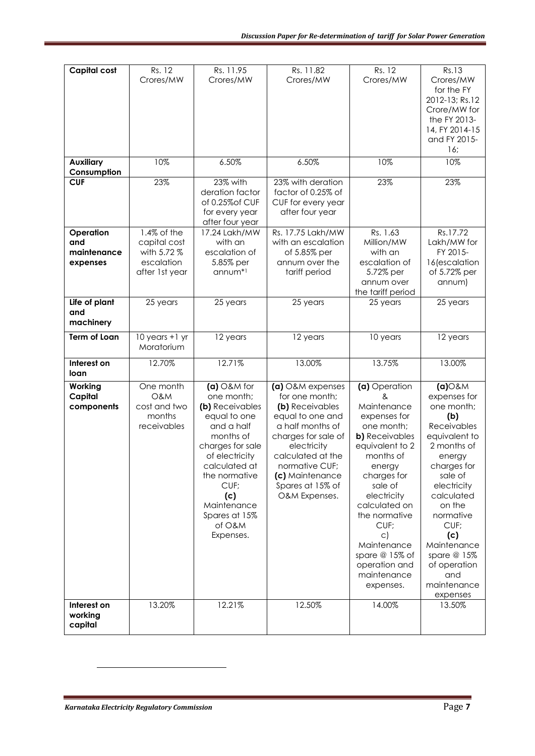| <b>Capital cost</b>                         | Rs. 12<br>Crores/MW                                                           | Rs. 11.95<br>Crores/MW                                                                                                                                                                                                                  | Rs. 11.82<br>Crores/MW                                                                                                                                                                                                             | Rs. 12<br>Crores/MW                                                                                                                                                                                                                                                                                                 | Rs.13<br>Crores/MW<br>for the FY<br>2012-13; Rs.12<br>Crore/MW for<br>the FY 2013-<br>14, FY 2014-15<br>and FY 2015-<br>16;                                                                                                                                                          |
|---------------------------------------------|-------------------------------------------------------------------------------|-----------------------------------------------------------------------------------------------------------------------------------------------------------------------------------------------------------------------------------------|------------------------------------------------------------------------------------------------------------------------------------------------------------------------------------------------------------------------------------|---------------------------------------------------------------------------------------------------------------------------------------------------------------------------------------------------------------------------------------------------------------------------------------------------------------------|--------------------------------------------------------------------------------------------------------------------------------------------------------------------------------------------------------------------------------------------------------------------------------------|
| <b>Auxiliary</b><br>Consumption             | 10%                                                                           | 6.50%                                                                                                                                                                                                                                   | 6.50%                                                                                                                                                                                                                              | 10%                                                                                                                                                                                                                                                                                                                 | 10%                                                                                                                                                                                                                                                                                  |
| <b>CUF</b>                                  | 23%                                                                           | 23% with<br>deration factor<br>of 0.25% of CUF<br>for every year<br>after four year                                                                                                                                                     | 23% with deration<br>factor of 0.25% of<br>CUF for every year<br>after four year                                                                                                                                                   | 23%                                                                                                                                                                                                                                                                                                                 | 23%                                                                                                                                                                                                                                                                                  |
| Operation<br>and<br>maintenance<br>expenses | $1.4\%$ of the<br>capital cost<br>with 5.72 %<br>escalation<br>after 1st year | 17.24 Lakh/MW<br>with an<br>escalation of<br>5.85% per<br>annum <sup>*1</sup>                                                                                                                                                           | Rs. 17.75 Lakh/MW<br>with an escalation<br>of 5.85% per<br>annum over the<br>tariff period                                                                                                                                         | Rs. 1.63<br>Million/MW<br>with an<br>escalation of<br>5.72% per<br>annum over<br>the tariff period                                                                                                                                                                                                                  | Rs.17.72<br>Lakh/MW for<br>FY 2015-<br>16(escalation<br>of 5.72% per<br>annum)                                                                                                                                                                                                       |
| Life of plant<br>and<br>machinery           | 25 years                                                                      | 25 years                                                                                                                                                                                                                                | 25 years                                                                                                                                                                                                                           | 25 years                                                                                                                                                                                                                                                                                                            | 25 years                                                                                                                                                                                                                                                                             |
| <b>Term of Loan</b>                         | $10$ years $+1$ yr<br>Moratorium                                              | 12 years                                                                                                                                                                                                                                | 12 years                                                                                                                                                                                                                           | 10 years                                                                                                                                                                                                                                                                                                            | 12 years                                                                                                                                                                                                                                                                             |
| Interest on<br>loan                         | 12.70%                                                                        | 12.71%                                                                                                                                                                                                                                  | 13.00%                                                                                                                                                                                                                             | 13.75%                                                                                                                                                                                                                                                                                                              | 13.00%                                                                                                                                                                                                                                                                               |
| Working<br>Capital<br>components            | One month<br>O&M<br>cost and two<br>months<br>receivables                     | $(a)$ O&M for<br>one month;<br>(b) Receivables<br>equal to one<br>and a half<br>months of<br>charges for sale<br>of electricity<br>calculated at<br>the normative<br>CUF;<br>(c)<br>Maintenance<br>Spares at 15%<br>of O&M<br>Expenses. | (a) O&M expenses<br>for one month;<br>(b) Receivables<br>equal to one and<br>a half months of<br>charges for sale of<br>electricity<br>calculated at the<br>normative CUF;<br>(c) Maintenance<br>Spares at 15% of<br>O&M Expenses. | (a) Operation<br>&<br>Maintenance<br>expenses for<br>one month;<br><b>b)</b> Receivables<br>equivalent to 2<br>months of<br>energy<br>charges for<br>sale of<br>electricity<br>calculated on<br>the normative<br>CUF;<br>$\mathsf{C}$<br>Maintenance<br>spare @ 15% of<br>operation and<br>maintenance<br>expenses. | $(a)$ O&M<br>expenses for<br>one month;<br>(b)<br>Receivables<br>equivalent to<br>2 months of<br>energy<br>charges for<br>sale of<br>electricity<br>calculated<br>on the<br>normative<br>CUF;<br>(c)<br>Maintenance<br>spare @ 15%<br>of operation<br>and<br>maintenance<br>expenses |
| Interest on<br>working<br>capital           | 13.20%                                                                        | 12.21%                                                                                                                                                                                                                                  | 12.50%                                                                                                                                                                                                                             | 14.00%                                                                                                                                                                                                                                                                                                              | 13.50%                                                                                                                                                                                                                                                                               |

**.**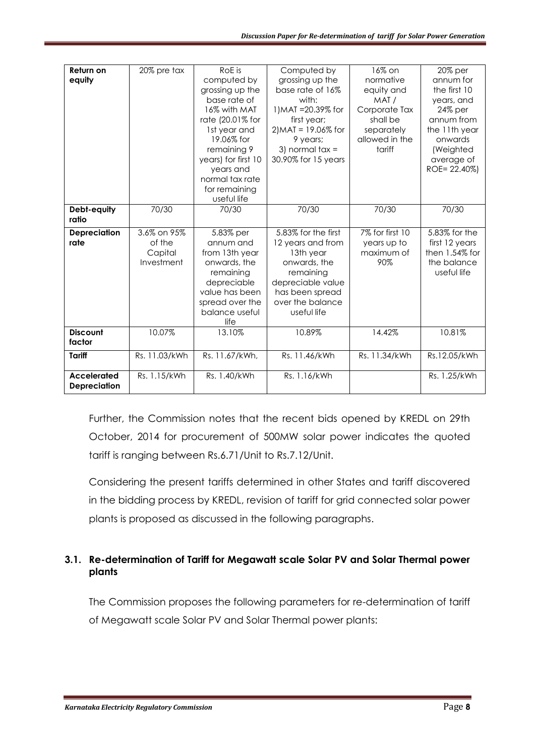| Return on           | 20% pre tax   | RoE is              | Computed by            | 16% on          | 20% per           |
|---------------------|---------------|---------------------|------------------------|-----------------|-------------------|
|                     |               |                     |                        |                 |                   |
| equity              |               | computed by         | grossing up the        | normative       | annum for         |
|                     |               | grossing up the     | base rate of 16%       | equity and      | the first 10      |
|                     |               | base rate of        | with:                  | MAT/            | years, and        |
|                     |               | 16% with MAT        | 1) MAT = 20.39% for    | Corporate Tax   | 24% per           |
|                     |               | rate (20.01% for    | first year;            | shall be        | annum from        |
|                     |               | 1st year and        | $2$ ) MAT = 19.06% for | separately      | the 11th year     |
|                     |               | 19.06% for          | 9 years;               | allowed in the  | onwards           |
|                     |               | remaining 9         | 3) normal $tax =$      | tariff          | (Weighted         |
|                     |               | years) for first 10 | 30.90% for 15 years    |                 | average of        |
|                     |               | years and           |                        |                 | ROE= 22.40%)      |
|                     |               | normal tax rate     |                        |                 |                   |
|                     |               | for remaining       |                        |                 |                   |
|                     |               | useful life         |                        |                 |                   |
| Debt-equity         | 70/30         | 70/30               | 70/30                  | 70/30           | 70/30             |
| ratio               |               |                     |                        |                 |                   |
|                     |               |                     |                        |                 |                   |
| <b>Depreciation</b> | 3.6% on 95%   | 5.83% per           | 5.83% for the first    | 7% for first 10 | 5.83% for the     |
| rate                | of the        | annum and           | 12 years and from      | years up to     | first 12 years    |
|                     | Capital       | from 13th year      | 13th year              | maximum of      | then $1.54\%$ for |
|                     | Investment    | onwards, the        | onwards, the           | 90%             | the balance       |
|                     |               | remaining           | remaining              |                 | useful life       |
|                     |               | depreciable         | depreciable value      |                 |                   |
|                     |               | value has been      | has been spread        |                 |                   |
|                     |               | spread over the     | over the balance       |                 |                   |
|                     |               | balance useful      | useful life            |                 |                   |
|                     |               | life                |                        |                 |                   |
| <b>Discount</b>     | 10.07%        | 13.10%              | 10.89%                 | 14.42%          | 10.81%            |
| factor              |               |                     |                        |                 |                   |
| <b>Tariff</b>       | Rs. 11.03/kWh | Rs. 11.67/kWh,      | Rs. 11.46/kWh          | Rs. 11.34/kWh   | Rs.12.05/kWh      |
|                     |               |                     |                        |                 |                   |
| <b>Accelerated</b>  | Rs. 1.15/kWh  | Rs. 1.40/kWh        | Rs. 1.16/kWh           |                 | Rs. 1.25/kWh      |
| <b>Depreciation</b> |               |                     |                        |                 |                   |

Further, the Commission notes that the recent bids opened by KREDL on 29th October, 2014 for procurement of 500MW solar power indicates the quoted tariff is ranging between Rs.6.71/Unit to Rs.7.12/Unit.

Considering the present tariffs determined in other States and tariff discovered in the bidding process by KREDL, revision of tariff for grid connected solar power plants is proposed as discussed in the following paragraphs.

# **3.1. Re-determination of Tariff for Megawatt scale Solar PV and Solar Thermal power plants**

The Commission proposes the following parameters for re-determination of tariff of Megawatt scale Solar PV and Solar Thermal power plants: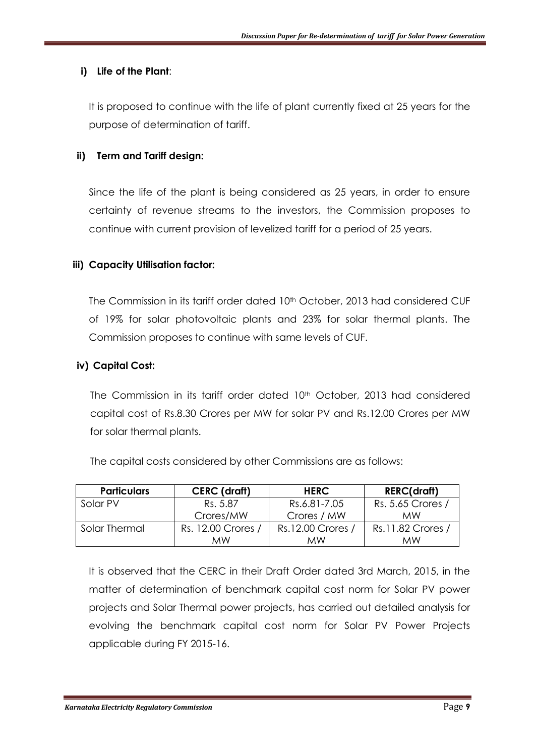## **i) Life of the Plant**:

It is proposed to continue with the life of plant currently fixed at 25 years for the purpose of determination of tariff.

## **ii) Term and Tariff design:**

Since the life of the plant is being considered as 25 years, in order to ensure certainty of revenue streams to the investors, the Commission proposes to continue with current provision of levelized tariff for a period of 25 years.

## **iii) Capacity Utilisation factor:**

The Commission in its tariff order dated 10<sup>th</sup> October, 2013 had considered CUF of 19% for solar photovoltaic plants and 23% for solar thermal plants. The Commission proposes to continue with same levels of CUF.

#### **iv) Capital Cost:**

The Commission in its tariff order dated 10<sup>th</sup> October, 2013 had considered capital cost of Rs.8.30 Crores per MW for solar PV and Rs.12.00 Crores per MW for solar thermal plants.

|  | The capital costs considered by other Commissions are as follows: |  |  |  |
|--|-------------------------------------------------------------------|--|--|--|
|--|-------------------------------------------------------------------|--|--|--|

| <b>Particulars</b> | CERC (draft)       | <b>HERC</b>       | <b>RERC(draft)</b> |
|--------------------|--------------------|-------------------|--------------------|
| Solar PV           | Rs. 5.87           | Rs.6.81-7.05      | Rs. 5.65 Crores /  |
|                    | Crores/MW          | Crores / MW       | <b>MW</b>          |
| Solar Thermal      | Rs. 12.00 Crores / | Rs.12.00 Crores / | Rs.11.82 Crores /  |
|                    | мw                 | МW                | МW                 |

It is observed that the CERC in their Draft Order dated 3rd March, 2015, in the matter of determination of benchmark capital cost norm for Solar PV power projects and Solar Thermal power projects, has carried out detailed analysis for evolving the benchmark capital cost norm for Solar PV Power Projects applicable during FY 2015-16.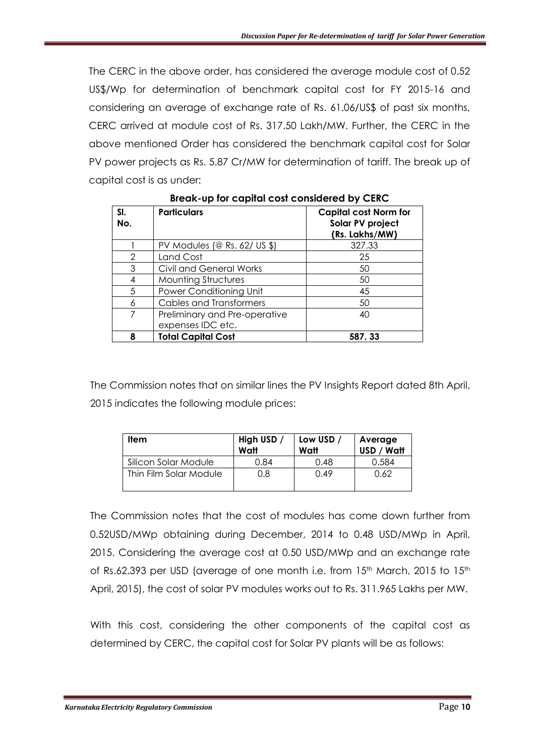The CERC in the above order, has considered the average module cost of 0.52 US\$/Wp for determination of benchmark capital cost for FY 2015-16 and considering an average of exchange rate of Rs. 61.06/US\$ of past six months, CERC arrived at module cost of Rs. 317.50 Lakh/MW. Further, the CERC in the above mentioned Order has considered the benchmark capital cost for Solar PV power projects as Rs. 5.87 Cr/MW for determination of tariff. The break up of capital cost is as under:

| SI.<br>No. | <b>Particulars</b>                                 | <b>Capital cost Norm for</b><br>Solar PV project<br>(Rs. Lakhs/MW) |
|------------|----------------------------------------------------|--------------------------------------------------------------------|
|            | PV Modules (@ Rs. 62/ US \$)                       | 327.33                                                             |
| 2          | Land Cost                                          | 25                                                                 |
| 3          | Civil and General Works                            | 50                                                                 |
| 4          | <b>Mounting Structures</b>                         | 50                                                                 |
| 5          | Power Conditioning Unit                            | 45                                                                 |
| Ь          | <b>Cables and Transformers</b>                     | 50                                                                 |
|            | Preliminary and Pre-operative<br>expenses IDC etc. | 40                                                                 |
| 8          | <b>Total Capital Cost</b>                          | 587.33                                                             |

**Break-up for capital cost considered by CERC**

The Commission notes that on similar lines the PV Insights Report dated 8th April, 2015 indicates the following module prices:

| Item                   | High USD /<br>Watt | Low USD /<br>Watt | Average<br>USD / Watt |
|------------------------|--------------------|-------------------|-----------------------|
| Silicon Solar Module   | 0.84               | 0.48              | 0.584                 |
| Thin Film Solar Module | 0.8                | 0.49              | 0.62                  |

The Commission notes that the cost of modules has come down further from 0.52USD/MWp obtaining during December, 2014 to 0.48 USD/MWp in April, 2015. Considering the average cost at 0.50 USD/MWp and an exchange rate of Rs.62.393 per USD (average of one month i.e. from 15<sup>th</sup> March, 2015 to 15<sup>th</sup> April, 2015), the cost of solar PV modules works out to Rs. 311.965 Lakhs per MW.

With this cost, considering the other components of the capital cost as determined by CERC, the capital cost for Solar PV plants will be as follows: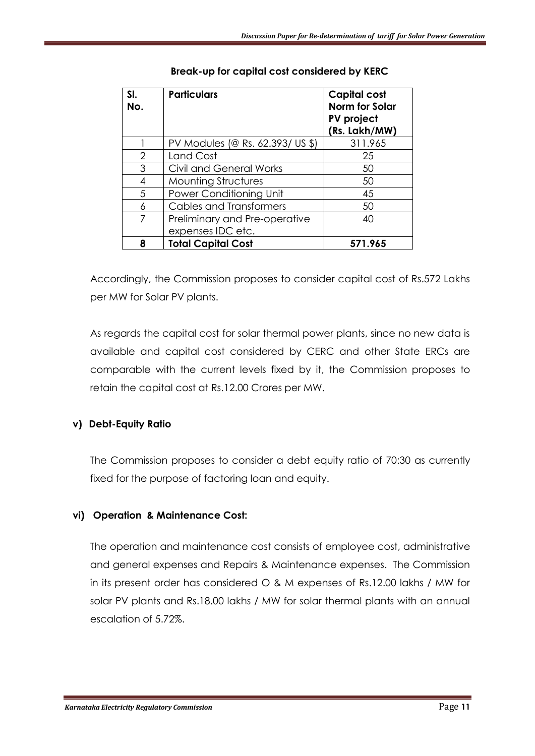| SI.<br>No.     | <b>Particulars</b>               | <b>Capital cost</b><br><b>Norm for Solar</b><br>PV project<br>(Rs. Lakh/MW) |
|----------------|----------------------------------|-----------------------------------------------------------------------------|
|                | PV Modules (@ Rs. 62.393/ US \$) | 311.965                                                                     |
| $\overline{2}$ | Land Cost                        | 25                                                                          |
| 3              | Civil and General Works          | 50                                                                          |
| 4              | <b>Mounting Structures</b>       | 50                                                                          |
| 5              | Power Conditioning Unit          | 45                                                                          |
| 6              | Cables and Transformers          | 50                                                                          |
| 7              | Preliminary and Pre-operative    | 40                                                                          |
|                | expenses IDC etc.                |                                                                             |
| 8              | <b>Total Capital Cost</b>        | 571.965                                                                     |

## **Break-up for capital cost considered by KERC**

Accordingly, the Commission proposes to consider capital cost of Rs.572 Lakhs per MW for Solar PV plants.

As regards the capital cost for solar thermal power plants, since no new data is available and capital cost considered by CERC and other State ERCs are comparable with the current levels fixed by it, the Commission proposes to retain the capital cost at Rs.12.00 Crores per MW.

# **v) Debt-Equity Ratio**

The Commission proposes to consider a debt equity ratio of 70:30 as currently fixed for the purpose of factoring loan and equity.

# **vi) Operation & Maintenance Cost:**

The operation and maintenance cost consists of employee cost, administrative and general expenses and Repairs & Maintenance expenses. The Commission in its present order has considered O & M expenses of Rs.12.00 lakhs / MW for solar PV plants and Rs.18.00 lakhs / MW for solar thermal plants with an annual escalation of 5.72%.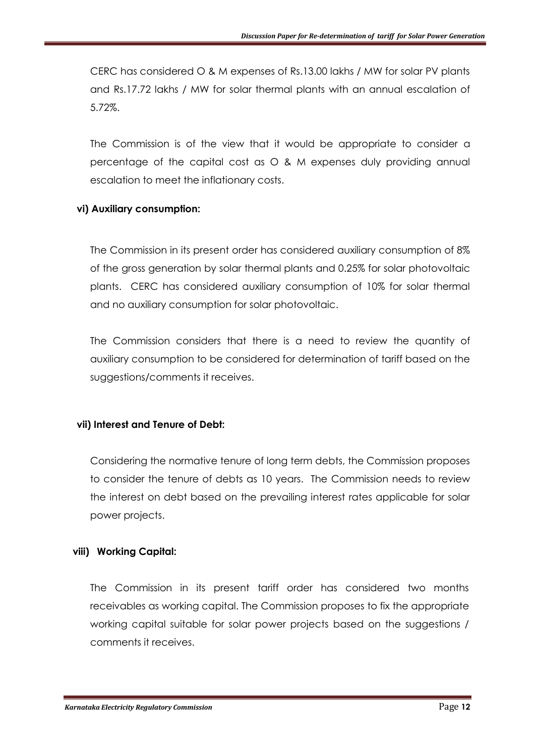CERC has considered O & M expenses of Rs.13.00 lakhs / MW for solar PV plants and Rs.17.72 lakhs / MW for solar thermal plants with an annual escalation of 5.72%.

The Commission is of the view that it would be appropriate to consider a percentage of the capital cost as O & M expenses duly providing annual escalation to meet the inflationary costs.

#### **vi) Auxiliary consumption:**

The Commission in its present order has considered auxiliary consumption of 8% of the gross generation by solar thermal plants and 0.25% for solar photovoltaic plants. CERC has considered auxiliary consumption of 10% for solar thermal and no auxiliary consumption for solar photovoltaic.

The Commission considers that there is a need to review the quantity of auxiliary consumption to be considered for determination of tariff based on the suggestions/comments it receives.

#### **vii) Interest and Tenure of Debt:**

Considering the normative tenure of long term debts, the Commission proposes to consider the tenure of debts as 10 years. The Commission needs to review the interest on debt based on the prevailing interest rates applicable for solar power projects.

#### **viii) Working Capital:**

The Commission in its present tariff order has considered two months receivables as working capital. The Commission proposes to fix the appropriate working capital suitable for solar power projects based on the suggestions / comments it receives.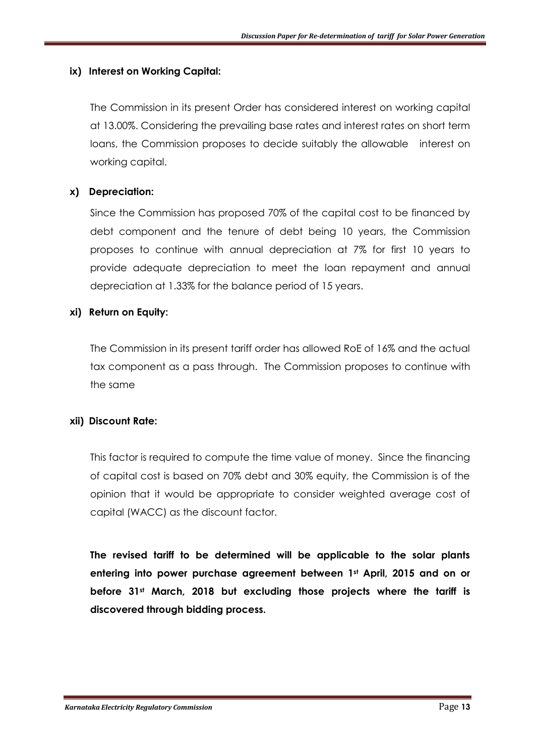#### **ix) Interest on Working Capital:**

The Commission in its present Order has considered interest on working capital at 13.00%. Considering the prevailing base rates and interest rates on short term loans, the Commission proposes to decide suitably the allowable interest on working capital.

## **x) Depreciation:**

Since the Commission has proposed 70% of the capital cost to be financed by debt component and the tenure of debt being 10 years, the Commission proposes to continue with annual depreciation at 7% for first 10 years to provide adequate depreciation to meet the loan repayment and annual depreciation at 1.33% for the balance period of 15 years.

#### **xi) Return on Equity:**

The Commission in its present tariff order has allowed RoE of 16% and the actual tax component as a pass through. The Commission proposes to continue with the same

#### **xii) Discount Rate:**

This factor is required to compute the time value of money. Since the financing of capital cost is based on 70% debt and 30% equity, the Commission is of the opinion that it would be appropriate to consider weighted average cost of capital (WACC) as the discount factor.

**The revised tariff to be determined will be applicable to the solar plants entering into power purchase agreement between 1st April, 2015 and on or before 31st March, 2018 but excluding those projects where the tariff is discovered through bidding process.**